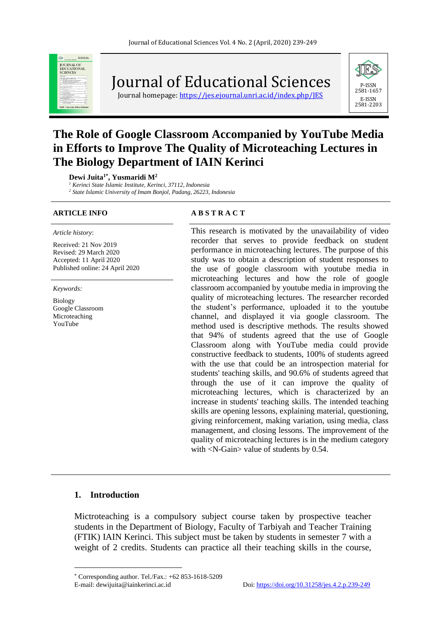

Journal of Educational Sciences

Journal homepage: https://jes.ejournal.unri.ac.id/index.php/IES



# **The Role of Google Classroom Accompanied by YouTube Media in Efforts to Improve The Quality of Microteaching Lectures in The Biology Department of IAIN Kerinci**

**Dewi Juita1\* , Yusmaridi M<sup>2</sup>**

*<sup>1</sup> Kerinci State Islamic Institute, Kerinci, 37112, Indonesia* 

*<sup>2</sup> State Islamic University of Imam Bonjol, Padang, 26223, Indonesia*

#### *Article history*:

Received: 21 Nov 2019 Revised: 29 March 2020 Accepted: 11 April 2020 Published online: 24 April 2020

*Keywords:*

Biology Google Classroom Microteaching YouTube

#### **ARTICLE INFO A B S T R A C T**

This research is motivated by the unavailability of video recorder that serves to provide feedback on student performance in microteaching lectures. The purpose of this study was to obtain a description of student responses to the use of google classroom with youtube media in microteaching lectures and how the role of google classroom accompanied by youtube media in improving the quality of microteaching lectures. The researcher recorded the student's performance, uploaded it to the youtube channel, and displayed it via google classroom. The method used is descriptive methods. The results showed that 94% of students agreed that the use of Google Classroom along with YouTube media could provide constructive feedback to students, 100% of students agreed with the use that could be an introspection material for students' teaching skills, and 90.6% of students agreed that through the use of it can improve the quality of microteaching lectures, which is characterized by an increase in students' teaching skills. The intended teaching skills are opening lessons, explaining material, questioning, giving reinforcement, making variation, using media, class management, and closing lessons. The improvement of the quality of microteaching lectures is in the medium category with <N-Gain> value of students by 0.54.

#### **1. Introduction**

Mictroteaching is a compulsory subject course taken by prospective teacher students in the Department of Biology, Faculty of Tarbiyah and Teacher Training (FTIK) IAIN Kerinci. This subject must be taken by students in semester 7 with a weight of 2 credits. Students can practice all their teaching skills in the course,

Corresponding author. Tel./Fax.: +62 853-1618-5209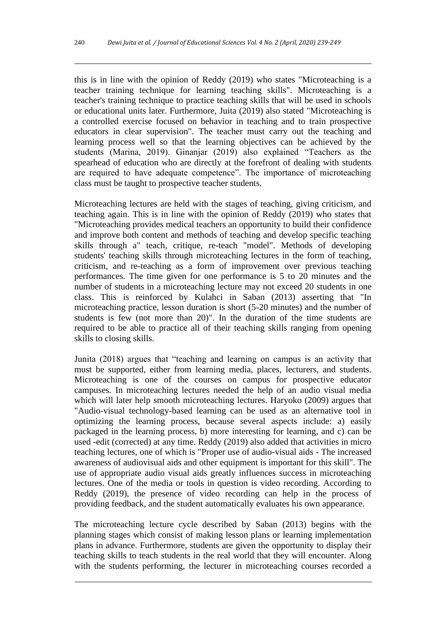this is in line with the opinion of Reddy (2019) who states "Microteaching is a teacher training technique for learning teaching skills". Microteaching is a teacher's training technique to practice teaching skills that will be used in schools or educational units later. Furthermore, Juita (2019) also stated "Microteaching is a controlled exercise focused on behavior in teaching and to train prospective educators in clear supervision". The teacher must carry out the teaching and learning process well so that the learning objectives can be achieved by the students (Marina, 2019). Ginanjar (2019) also explained "Teachers as the spearhead of education who are directly at the forefront of dealing with students are required to have adequate competence". The importance of microteaching class must be taught to prospective teacher students.

Microteaching lectures are held with the stages of teaching, giving criticism, and teaching again. This is in line with the opinion of Reddy (2019) who states that "Microteaching provides medical teachers an opportunity to build their confidence and improve both content and methods of teaching and develop specific teaching skills through a" teach, critique, re-teach "model". Methods of developing students' teaching skills through microteaching lectures in the form of teaching, criticism, and re-teaching as a form of improvement over previous teaching performances. The time given for one performance is 5 to 20 minutes and the number of students in a microteaching lecture may not exceed 20 students in one class. This is reinforced by Kulahci in Saban (2013) asserting that "In microteaching practice, lesson duration is short (5-20 minutes) and the number of students is few (not more than 20)". In the duration of the time students are required to be able to practice all of their teaching skills ranging from opening skills to closing skills.

Junita (2018) argues that "teaching and learning on campus is an activity that must be supported, either from learning media, places, lecturers, and students. Microteaching is one of the courses on campus for prospective educator campuses. In microteaching lectures needed the help of an audio visual media which will later help smooth microteaching lectures. Haryoko (2009) argues that "Audio-visual technology-based learning can be used as an alternative tool in optimizing the learning process, because several aspects include: a) easily packaged in the learning process, b) more interesting for learning, and c) can be used -edit (corrected) at any time. Reddy (2019) also added that activities in micro teaching lectures, one of which is "Proper use of audio-visual aids - The increased awareness of audiovisual aids and other equipment is important for this skill". The use of appropriate audio visual aids greatly influences success in microteaching lectures. One of the media or tools in question is video recording. According to Reddy (2019), the presence of video recording can help in the process of providing feedback, and the student automatically evaluates his own appearance.

The microteaching lecture cycle described by Saban (2013) begins with the planning stages which consist of making lesson plans or learning implementation plans in advance. Furthermore, students are given the opportunity to display their teaching skills to teach students in the real world that they will encounter. Along with the students performing, the lecturer in microteaching courses recorded a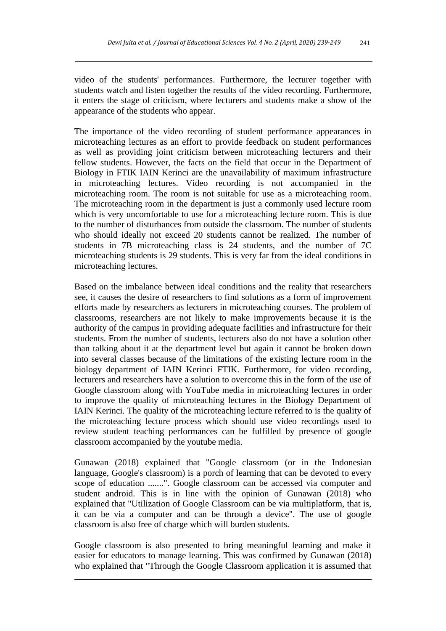video of the students' performances. Furthermore, the lecturer together with students watch and listen together the results of the video recording. Furthermore, it enters the stage of criticism, where lecturers and students make a show of the appearance of the students who appear.

The importance of the video recording of student performance appearances in microteaching lectures as an effort to provide feedback on student performances as well as providing joint criticism between microteaching lecturers and their fellow students. However, the facts on the field that occur in the Department of Biology in FTIK IAIN Kerinci are the unavailability of maximum infrastructure in microteaching lectures. Video recording is not accompanied in the microteaching room. The room is not suitable for use as a microteaching room. The microteaching room in the department is just a commonly used lecture room which is very uncomfortable to use for a microteaching lecture room. This is due to the number of disturbances from outside the classroom. The number of students who should ideally not exceed 20 students cannot be realized. The number of students in 7B microteaching class is 24 students, and the number of 7C microteaching students is 29 students. This is very far from the ideal conditions in microteaching lectures.

Based on the imbalance between ideal conditions and the reality that researchers see, it causes the desire of researchers to find solutions as a form of improvement efforts made by researchers as lecturers in microteaching courses. The problem of classrooms, researchers are not likely to make improvements because it is the authority of the campus in providing adequate facilities and infrastructure for their students. From the number of students, lecturers also do not have a solution other than talking about it at the department level but again it cannot be broken down into several classes because of the limitations of the existing lecture room in the biology department of IAIN Kerinci FTIK. Furthermore, for video recording, lecturers and researchers have a solution to overcome this in the form of the use of Google classroom along with YouTube media in microteaching lectures in order to improve the quality of microteaching lectures in the Biology Department of IAIN Kerinci. The quality of the microteaching lecture referred to is the quality of the microteaching lecture process which should use video recordings used to review student teaching performances can be fulfilled by presence of google classroom accompanied by the youtube media.

Gunawan (2018) explained that "Google classroom (or in the Indonesian language, Google's classroom) is a porch of learning that can be devoted to every scope of education .......". Google classroom can be accessed via computer and student android. This is in line with the opinion of Gunawan (2018) who explained that "Utilization of Google Classroom can be via multiplatform, that is, it can be via a computer and can be through a device". The use of google classroom is also free of charge which will burden students.

Google classroom is also presented to bring meaningful learning and make it easier for educators to manage learning. This was confirmed by Gunawan (2018) who explained that "Through the Google Classroom application it is assumed that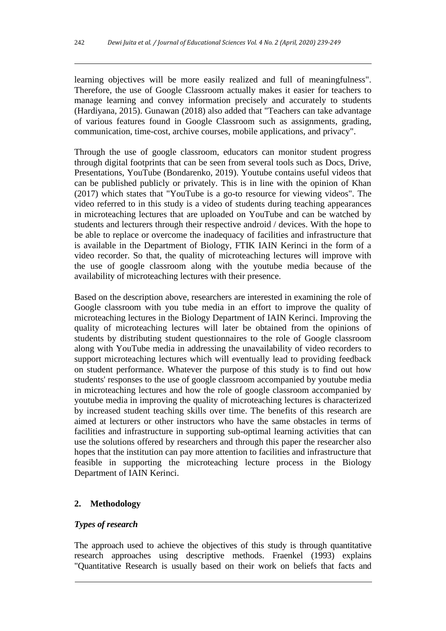learning objectives will be more easily realized and full of meaningfulness". Therefore, the use of Google Classroom actually makes it easier for teachers to manage learning and convey information precisely and accurately to students (Hardiyana, 2015). Gunawan (2018) also added that "Teachers can take advantage of various features found in Google Classroom such as assignments, grading, communication, time-cost, archive courses, mobile applications, and privacy".

Through the use of google classroom, educators can monitor student progress through digital footprints that can be seen from several tools such as Docs, Drive, Presentations, YouTube (Bondarenko, 2019). Youtube contains useful videos that can be published publicly or privately. This is in line with the opinion of Khan (2017) which states that "YouTube is a go-to resource for viewing videos". The video referred to in this study is a video of students during teaching appearances in microteaching lectures that are uploaded on YouTube and can be watched by students and lecturers through their respective android / devices. With the hope to be able to replace or overcome the inadequacy of facilities and infrastructure that is available in the Department of Biology, FTIK IAIN Kerinci in the form of a video recorder. So that, the quality of microteaching lectures will improve with the use of google classroom along with the youtube media because of the availability of microteaching lectures with their presence.

Based on the description above, researchers are interested in examining the role of Google classroom with you tube media in an effort to improve the quality of microteaching lectures in the Biology Department of IAIN Kerinci. Improving the quality of microteaching lectures will later be obtained from the opinions of students by distributing student questionnaires to the role of Google classroom along with YouTube media in addressing the unavailability of video recorders to support microteaching lectures which will eventually lead to providing feedback on student performance. Whatever the purpose of this study is to find out how students' responses to the use of google classroom accompanied by youtube media in microteaching lectures and how the role of google classroom accompanied by youtube media in improving the quality of microteaching lectures is characterized by increased student teaching skills over time. The benefits of this research are aimed at lecturers or other instructors who have the same obstacles in terms of facilities and infrastructure in supporting sub-optimal learning activities that can use the solutions offered by researchers and through this paper the researcher also hopes that the institution can pay more attention to facilities and infrastructure that feasible in supporting the microteaching lecture process in the Biology Department of IAIN Kerinci.

# **2. Methodology**

# *Types of research*

The approach used to achieve the objectives of this study is through quantitative research approaches using descriptive methods. Fraenkel (1993) explains "Quantitative Research is usually based on their work on beliefs that facts and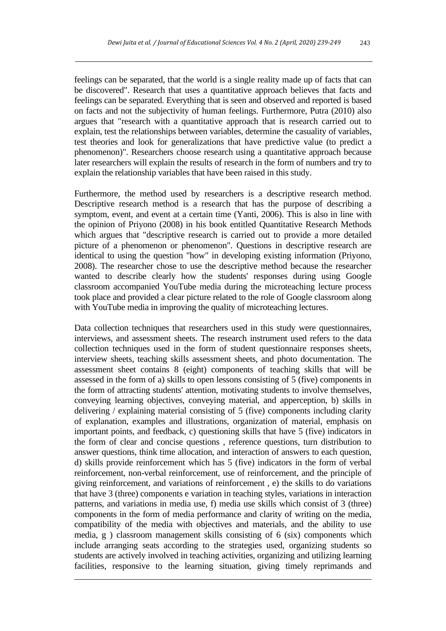feelings can be separated, that the world is a single reality made up of facts that can be discovered". Research that uses a quantitative approach believes that facts and feelings can be separated. Everything that is seen and observed and reported is based on facts and not the subjectivity of human feelings. Furthermore, Putra (2010) also argues that "research with a quantitative approach that is research carried out to explain, test the relationships between variables, determine the casuality of variables, test theories and look for generalizations that have predictive value (to predict a phenomenon)". Researchers choose research using a quantitative approach because later researchers will explain the results of research in the form of numbers and try to explain the relationship variables that have been raised in this study.

Furthermore, the method used by researchers is a descriptive research method. Descriptive research method is a research that has the purpose of describing a symptom, event, and event at a certain time (Yanti, 2006). This is also in line with the opinion of Priyono (2008) in his book entitled Quantitative Research Methods which argues that "descriptive research is carried out to provide a more detailed picture of a phenomenon or phenomenon". Questions in descriptive research are identical to using the question "how" in developing existing information (Priyono, 2008). The researcher chose to use the descriptive method because the researcher wanted to describe clearly how the students' responses during using Google classroom accompanied YouTube media during the microteaching lecture process took place and provided a clear picture related to the role of Google classroom along with YouTube media in improving the quality of microteaching lectures.

Data collection techniques that researchers used in this study were questionnaires, interviews, and assessment sheets. The research instrument used refers to the data collection techniques used in the form of student questionnaire responses sheets, interview sheets, teaching skills assessment sheets, and photo documentation. The assessment sheet contains 8 (eight) components of teaching skills that will be assessed in the form of a) skills to open lessons consisting of 5 (five) components in the form of attracting students' attention, motivating students to involve themselves, conveying learning objectives, conveying material, and apperception, b) skills in delivering / explaining material consisting of 5 (five) components including clarity of explanation, examples and illustrations, organization of material, emphasis on important points, and feedback, c) questioning skills that have 5 (five) indicators in the form of clear and concise questions , reference questions, turn distribution to answer questions, think time allocation, and interaction of answers to each question, d) skills provide reinforcement which has 5 (five) indicators in the form of verbal reinforcement, non-verbal reinforcement, use of reinforcement, and the principle of giving reinforcement, and variations of reinforcement , e) the skills to do variations that have 3 (three) components e variation in teaching styles, variations in interaction patterns, and variations in media use, f) media use skills which consist of 3 (three) components in the form of media performance and clarity of writing on the media, compatibility of the media with objectives and materials, and the ability to use media, g ) classroom management skills consisting of 6 (six) components which include arranging seats according to the strategies used, organizing students so students are actively involved in teaching activities, organizing and utilizing learning facilities, responsive to the learning situation, giving timely reprimands and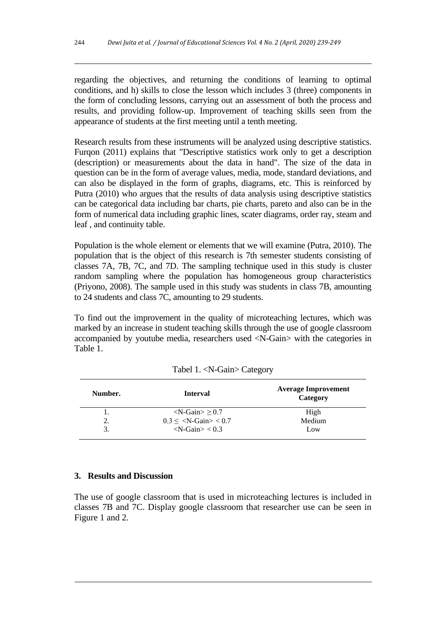regarding the objectives, and returning the conditions of learning to optimal conditions, and h) skills to close the lesson which includes 3 (three) components in the form of concluding lessons, carrying out an assessment of both the process and results, and providing follow-up. Improvement of teaching skills seen from the appearance of students at the first meeting until a tenth meeting.

Research results from these instruments will be analyzed using descriptive statistics. Furqon (2011) explains that "Descriptive statistics work only to get a description (description) or measurements about the data in hand". The size of the data in question can be in the form of average values, media, mode, standard deviations, and can also be displayed in the form of graphs, diagrams, etc. This is reinforced by Putra (2010) who argues that the results of data analysis using descriptive statistics can be categorical data including bar charts, pie charts, pareto and also can be in the form of numerical data including graphic lines, scater diagrams, order ray, steam and leaf , and continuity table.

Population is the whole element or elements that we will examine (Putra, 2010). The population that is the object of this research is 7th semester students consisting of classes 7A, 7B, 7C, and 7D. The sampling technique used in this study is cluster random sampling where the population has homogeneous group characteristics (Priyono, 2008). The sample used in this study was students in class 7B, amounting to 24 students and class 7C, amounting to 29 students.

To find out the improvement in the quality of microteaching lectures, which was marked by an increase in student teaching skills through the use of google classroom accompanied by youtube media, researchers used <N-Gain> with the categories in Table 1.

| Number. | <b>Interval</b>                                | <b>Average Improvement</b><br>Category |
|---------|------------------------------------------------|----------------------------------------|
|         | $\langle$ N-Gain $>$ $>$ 0.7                   | High                                   |
|         | $0.3 \le \langle N \text{-Gain} \rangle < 0.7$ | Medium                                 |
| 3.      | $\langle$ N-Gain $>$ $<$ 0.3                   | Low                                    |

Tabel 1. <N-Gain> Category

#### **3. Results and Discussion**

The use of google classroom that is used in microteaching lectures is included in classes 7B and 7C. Display google classroom that researcher use can be seen in Figure 1 and 2.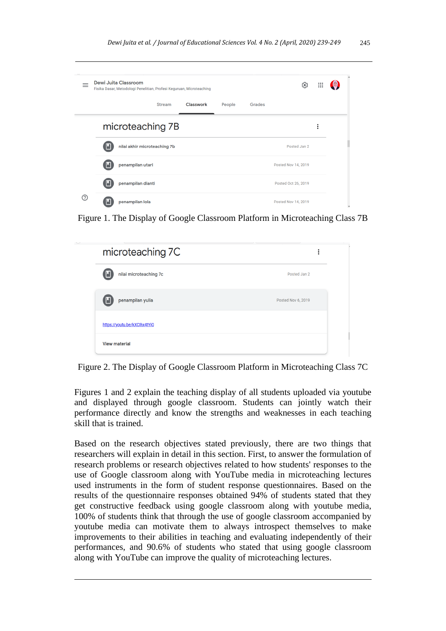|    | <b>Dewi Juita Classroom</b><br>Fisika Dasar, Metodologi Penelitian, Profesi Keguruan, Microteaching |               |           |        |        | త                   | $\frac{1}{2}$ |  |
|----|-----------------------------------------------------------------------------------------------------|---------------|-----------|--------|--------|---------------------|---------------|--|
|    |                                                                                                     | <b>Stream</b> | Classwork | People | Grades |                     |               |  |
|    | microteaching 7B                                                                                    |               |           |        |        |                     | ፡             |  |
|    | nilai akhir microteaching 7b<br>Ш                                                                   |               |           |        |        | Posted Jan 2        |               |  |
|    | penampilan utari<br>Ш                                                                               |               |           |        |        | Posted Nov 14, 2019 |               |  |
|    | penampilan dianti<br>Ш                                                                              |               |           |        |        | Posted Oct 26, 2019 |               |  |
| റി | penampilan lola                                                                                     |               |           |        |        | Posted Nov 14, 2019 |               |  |

Figure 1. The Display of Google Classroom Platform in Microteaching Class 7B

| microteaching 7C             | ٠                  |
|------------------------------|--------------------|
| nilai microteaching 7c       | Posted Jan 2       |
| penampilan yulia             | Posted Nov 6, 2019 |
| https://youtu.be/kXClhx4tYiQ |                    |
| <b>View material</b>         |                    |

Figure 2. The Display of Google Classroom Platform in Microteaching Class 7C

Figures 1 and 2 explain the teaching display of all students uploaded via youtube and displayed through google classroom. Students can jointly watch their performance directly and know the strengths and weaknesses in each teaching skill that is trained.

Based on the research objectives stated previously, there are two things that researchers will explain in detail in this section. First, to answer the formulation of research problems or research objectives related to how students' responses to the use of Google classroom along with YouTube media in microteaching lectures used instruments in the form of student response questionnaires. Based on the results of the questionnaire responses obtained 94% of students stated that they get constructive feedback using google classroom along with youtube media, 100% of students think that through the use of google classroom accompanied by youtube media can motivate them to always introspect themselves to make improvements to their abilities in teaching and evaluating independently of their performances, and 90.6% of students who stated that using google classroom along with YouTube can improve the quality of microteaching lectures.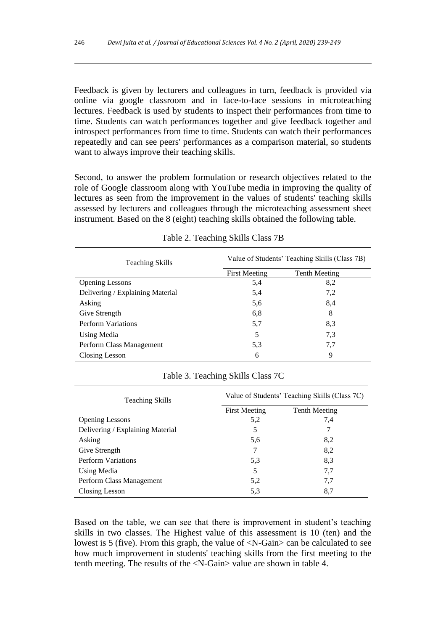Feedback is given by lecturers and colleagues in turn, feedback is provided via online via google classroom and in face-to-face sessions in microteaching lectures. Feedback is used by students to inspect their performances from time to time. Students can watch performances together and give feedback together and introspect performances from time to time. Students can watch their performances repeatedly and can see peers' performances as a comparison material, so students want to always improve their teaching skills.

Second, to answer the problem formulation or research objectives related to the role of Google classroom along with YouTube media in improving the quality of lectures as seen from the improvement in the values of students' teaching skills assessed by lecturers and colleagues through the microteaching assessment sheet instrument. Based on the 8 (eight) teaching skills obtained the following table.

| <b>Teaching Skills</b>           | Value of Students' Teaching Skills (Class 7B) |               |  |  |
|----------------------------------|-----------------------------------------------|---------------|--|--|
|                                  | <b>First Meeting</b>                          | Tenth Meeting |  |  |
| <b>Opening Lessons</b>           | 5,4                                           | 8,2           |  |  |
| Delivering / Explaining Material | 5,4                                           | 7,2           |  |  |
| Asking                           | 5,6                                           | 8,4           |  |  |
| Give Strength                    | 6,8                                           | 8             |  |  |
| <b>Perform Variations</b>        | 5,7                                           | 8,3           |  |  |
| Using Media                      | 5                                             | 7.3           |  |  |
| Perform Class Management         | 5.3                                           | 7.7           |  |  |
| Closing Lesson                   | 6                                             | 9             |  |  |

|  | Table 2. Teaching Skills Class 7B |  |  |  |
|--|-----------------------------------|--|--|--|
|--|-----------------------------------|--|--|--|

#### Table 3. Teaching Skills Class 7C

| <b>Teaching Skills</b>           | Value of Students' Teaching Skills (Class 7C) |                      |  |  |
|----------------------------------|-----------------------------------------------|----------------------|--|--|
|                                  | <b>First Meeting</b>                          | <b>Tenth Meeting</b> |  |  |
| <b>Opening Lessons</b>           | 5,2                                           | 7,4                  |  |  |
| Delivering / Explaining Material | 5                                             | 7                    |  |  |
| Asking                           | 5,6                                           | 8,2                  |  |  |
| Give Strength                    | 7                                             | 8,2                  |  |  |
| <b>Perform Variations</b>        | 5,3                                           | 8.3                  |  |  |
| Using Media                      | 5                                             | 7.7                  |  |  |
| Perform Class Management         | 5,2                                           | 7,7                  |  |  |
| Closing Lesson                   | 5,3                                           | 8.7                  |  |  |

Based on the table, we can see that there is improvement in student's teaching skills in two classes. The Highest value of this assessment is 10 (ten) and the lowest is 5 (five). From this graph, the value of  $\langle N-Gain \rangle$  can be calculated to see how much improvement in students' teaching skills from the first meeting to the tenth meeting. The results of the <N-Gain> value are shown in table 4.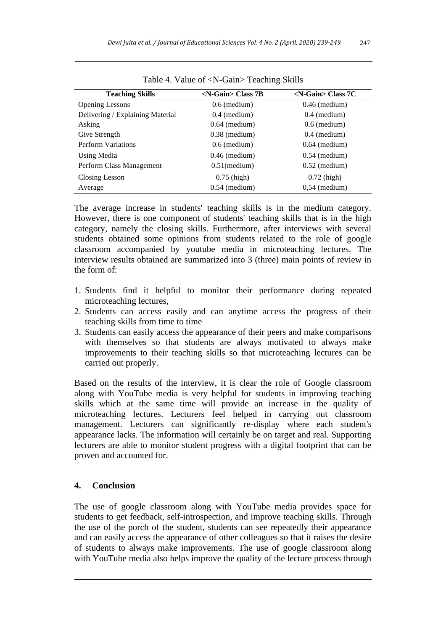| <b>Teaching Skills</b>           | $\langle$ N-Gain $\rangle$ Class 7B | $\langle$ N-Gain> Class 7C |
|----------------------------------|-------------------------------------|----------------------------|
| <b>Opening Lessons</b>           | $0.6$ (medium)                      | $0.46$ (medium)            |
| Delivering / Explaining Material | $0.4$ (medium)                      | $0.4$ (medium)             |
| Asking                           | $0.64$ (medium)                     | $0.6$ (medium)             |
| Give Strength                    | $0.38$ (medium)                     | $0.4$ (medium)             |
| <b>Perform Variations</b>        | $0.6$ (medium)                      | $0.64$ (medium)            |
| Using Media                      | $0.46$ (medium)                     | $0.54$ (medium)            |
| Perform Class Management         | $0.51$ (medium)                     | $0.52$ (medium)            |
| Closing Lesson                   | $0.75$ (high)                       | $0.72$ (high)              |
| Average                          | $0.54$ (medium)                     | $0.54$ (medium)            |

Table 4. Value of <N-Gain> Teaching Skills

The average increase in students' teaching skills is in the medium category. However, there is one component of students' teaching skills that is in the high category, namely the closing skills. Furthermore, after interviews with several students obtained some opinions from students related to the role of google classroom accompanied by youtube media in microteaching lectures. The interview results obtained are summarized into 3 (three) main points of review in the form of:

- 1. Students find it helpful to monitor their performance during repeated microteaching lectures,
- 2. Students can access easily and can anytime access the progress of their teaching skills from time to time
- 3. Students can easily access the appearance of their peers and make comparisons with themselves so that students are always motivated to always make improvements to their teaching skills so that microteaching lectures can be carried out properly.

Based on the results of the interview, it is clear the role of Google classroom along with YouTube media is very helpful for students in improving teaching skills which at the same time will provide an increase in the quality of microteaching lectures. Lecturers feel helped in carrying out classroom management. Lecturers can significantly re-display where each student's appearance lacks. The information will certainly be on target and real. Supporting lecturers are able to monitor student progress with a digital footprint that can be proven and accounted for.

# **4. Conclusion**

The use of google classroom along with YouTube media provides space for students to get feedback, self-introspection, and improve teaching skills. Through the use of the porch of the student, students can see repeatedly their appearance and can easily access the appearance of other colleagues so that it raises the desire of students to always make improvements. The use of google classroom along with YouTube media also helps improve the quality of the lecture process through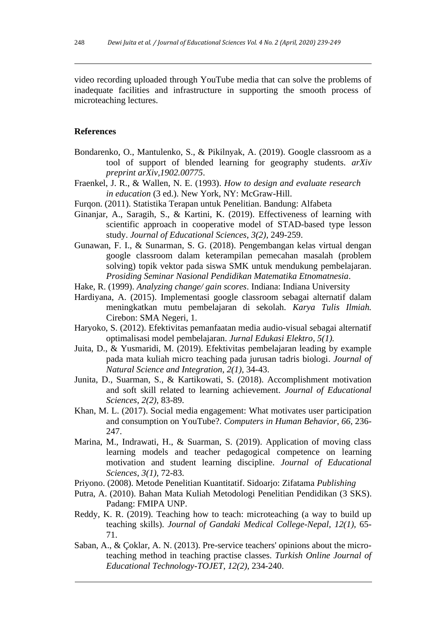video recording uploaded through YouTube media that can solve the problems of inadequate facilities and infrastructure in supporting the smooth process of microteaching lectures.

#### **References**

- Bondarenko, O., Mantulenko, S., & Pikilnyak, A. (2019). Google classroom as a tool of support of blended learning for geography students. *arXiv preprint arXiv,1902.00775*.
- Fraenkel, J. R., & Wallen, N. E. (1993). *How to design and evaluate research in education* (3 ed.). New York, NY: McGraw-Hill.
- Furqon. (2011). Statistika Terapan untuk Penelitian. Bandung: Alfabeta
- Ginanjar, A., Saragih, S., & Kartini, K. (2019). Effectiveness of learning with scientific approach in cooperative model of STAD-based type lesson study. *Journal of Educational Sciences*, *3(2),* 249-259.
- Gunawan, F. I., & Sunarman, S. G. (2018). Pengembangan kelas virtual dengan google classroom dalam keterampilan pemecahan masalah (problem solving) topik vektor pada siswa SMK untuk mendukung pembelajaran. *Prosiding Seminar Nasional Pendidikan Matematika Etnomatnesia*.
- Hake, R. (1999). *Analyzing change/ gain scores*. Indiana: Indiana University
- Hardiyana, A. (2015). Implementasi google classroom sebagai alternatif dalam meningkatkan mutu pembelajaran di sekolah. *Karya Tulis Ilmiah.*  Cirebon: SMA Negeri, 1.
- Haryoko, S. (2012). Efektivitas pemanfaatan media audio-visual sebagai alternatif optimalisasi model pembelajaran. *Jurnal Edukasi Elektro*, *5(1).*
- Juita, D., & Yusmaridi, M. (2019). Efektivitas pembelajaran leading by example pada mata kuliah micro teaching pada jurusan tadris biologi. *Journal of Natural Science and Integration*, *2(1),* 34-43.
- Junita, D., Suarman, S., & Kartikowati, S. (2018). Accomplishment motivation and soft skill related to learning achievement. *Journal of Educational Sciences*, *2(2),* 83-89.
- Khan, M. L. (2017). Social media engagement: What motivates user participation and consumption on YouTube?. *Computers in Human Behavior*, *66*, 236- 247.
- Marina, M., Indrawati, H., & Suarman, S. (2019). Application of moving class learning models and teacher pedagogical competence on learning motivation and student learning discipline. *Journal of Educational Sciences*, *3(1),* 72-83.
- Priyono. (2008). Metode Penelitian Kuantitatif. Sidoarjo: Zifatama *Publishing*
- Putra, A. (2010). Bahan Mata Kuliah Metodologi Penelitian Pendidikan (3 SKS). Padang: FMIPA UNP.
- Reddy, K. R. (2019). Teaching how to teach: microteaching (a way to build up teaching skills). *Journal of Gandaki Medical College-Nepal*, *12(1),* 65- 71.
- Saban, A., & Çoklar, A. N. (2013). Pre-service teachers' opinions about the microteaching method in teaching practise classes. *Turkish Online Journal of Educational Technology-TOJET*, *12(2),* 234-240.